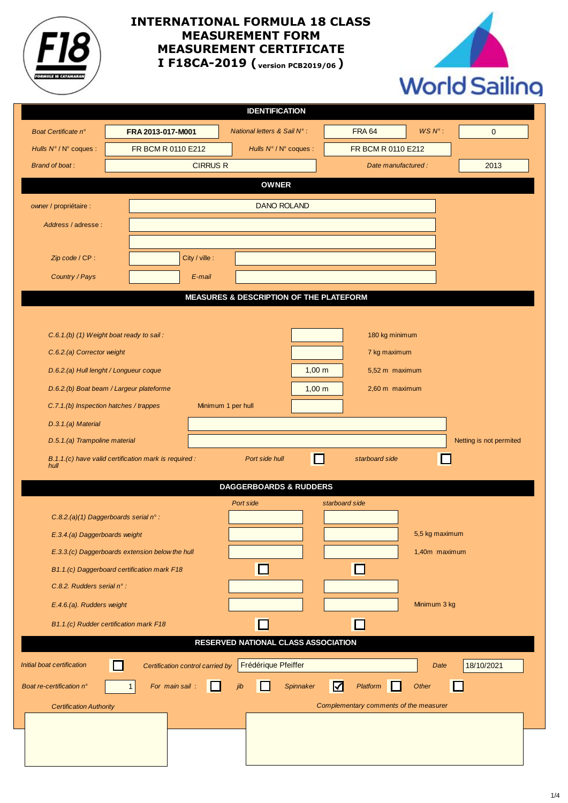

## **INTERNATIONAL FORMULA 18 CLASS MEASUREMENT FORM MEASUREMENT CERTIFICATE I F18CA-2019 ( version PCB2019/06 )**



|                                |                                                       |                                  | <b>IDENTIFICATION</b>                              |             |                                         |                 |                         |
|--------------------------------|-------------------------------------------------------|----------------------------------|----------------------------------------------------|-------------|-----------------------------------------|-----------------|-------------------------|
| Boat Certificate n°            | FRA 2013-017-M001                                     |                                  | National letters & Sail N°:                        |             | <b>FRA 64</b>                           | $WSN^{\circ}$ : | $\mathbf 0$             |
| Hulls N° / N° coques :         | FR BCM R 0110 E212                                    |                                  | Hulls N°/N° coques :                               |             | FR BCM R 0110 E212                      |                 |                         |
| <b>Brand of boat:</b>          |                                                       | <b>CIRRUS R</b>                  |                                                    |             | Date manufactured :                     |                 | 2013                    |
|                                |                                                       |                                  | <b>OWNER</b>                                       |             |                                         |                 |                         |
| owner / propriétaire :         |                                                       |                                  | <b>DANO ROLAND</b>                                 |             |                                         |                 |                         |
| Address / adresse :            |                                                       |                                  |                                                    |             |                                         |                 |                         |
|                                |                                                       |                                  |                                                    |             |                                         |                 |                         |
| Zip code / CP:                 |                                                       | City / ville :                   |                                                    |             |                                         |                 |                         |
| Country / Pays                 |                                                       | E-mail                           |                                                    |             |                                         |                 |                         |
|                                |                                                       |                                  | <b>MEASURES &amp; DESCRIPTION OF THE PLATEFORM</b> |             |                                         |                 |                         |
|                                |                                                       |                                  |                                                    |             |                                         |                 |                         |
|                                | C.6.1.(b) (1) Weight boat ready to sail:              |                                  |                                                    |             | 180 kg minimum                          |                 |                         |
| C.6.2.(a) Corrector weight     |                                                       |                                  |                                                    |             | 7 kg maximum                            |                 |                         |
|                                | D.6.2.(a) Hull lenght / Longueur coque                |                                  |                                                    | $1,00 \; m$ | 5,52 m maximum                          |                 |                         |
|                                | D.6.2.(b) Boat beam / Largeur plateforme              |                                  |                                                    | $1,00 \; m$ | 2,60 m maximum                          |                 |                         |
|                                | C.7.1.(b) Inspection hatches / trappes                | Minimum 1 per hull               |                                                    |             |                                         |                 |                         |
| D.3.1.(a) Material             |                                                       |                                  |                                                    |             |                                         |                 |                         |
| D.5.1.(a) Trampoline material  |                                                       |                                  |                                                    |             |                                         |                 | Netting is not permited |
| hull                           | B.1.1.(c) have valid certification mark is required : |                                  | Port side hull                                     | l 1         | starboard side                          |                 |                         |
|                                |                                                       |                                  |                                                    |             |                                         |                 |                         |
|                                |                                                       |                                  | <b>DAGGERBOARDS &amp; RUDDERS</b>                  |             |                                         |                 |                         |
|                                | C.8.2.(a)(1) Daggerboards serial n° :                 |                                  | Port side                                          |             | starboard side                          |                 |                         |
| E.3.4.(a) Daggerboards weight  |                                                       |                                  |                                                    |             |                                         | 5,5 kg maximum  |                         |
|                                | E.3.3.(c) Daggerboards extension below the hull       |                                  |                                                    |             |                                         | 1,40m maximum   |                         |
|                                | B1.1.(c) Daggerboard certification mark F18           |                                  |                                                    |             |                                         |                 |                         |
| C.8.2. Rudders serial n° :     |                                                       |                                  |                                                    |             |                                         |                 |                         |
| E.4.6.(a). Rudders weight      |                                                       |                                  |                                                    |             |                                         | Minimum 3 kg    |                         |
|                                | B1.1.(c) Rudder certification mark F18                |                                  |                                                    |             | $\Box$                                  |                 |                         |
|                                |                                                       |                                  | <b>RESERVED NATIONAL CLASS ASSOCIATION</b>         |             |                                         |                 |                         |
| Initial boat certification     |                                                       | Certification control carried by | Frédérique Pfeiffer                                |             |                                         | Date            | 18/10/2021              |
| Boat re-certification n°       | For main sail:<br>$\mathbf{1}$                        |                                  |                                                    | Spinnaker   | $\boldsymbol{\mathsf{\Xi}}$<br>Platform | Other           |                         |
|                                |                                                       |                                  |                                                    |             |                                         |                 |                         |
| <b>Certification Authority</b> |                                                       |                                  |                                                    |             | Complementary comments of the measurer  |                 |                         |
|                                |                                                       |                                  |                                                    |             |                                         |                 |                         |
|                                |                                                       |                                  |                                                    |             |                                         |                 |                         |
|                                |                                                       |                                  |                                                    |             |                                         |                 |                         |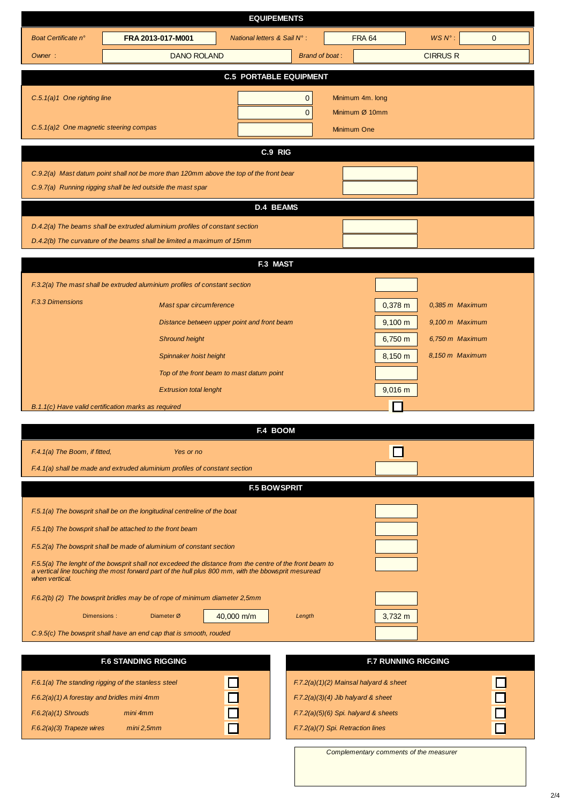| $WSN^{\circ}$ :<br><b>FRA 64</b><br>FRA 2013-017-M001<br><b>National letters &amp; Sail N°:</b><br>Boat Certificate n°<br>$\mathbf{0}$<br><b>Brand of boat:</b><br><b>DANO ROLAND</b><br><b>CIRRUS R</b><br>Owner:<br><b>C.5 PORTABLE EQUIPMENT</b><br>$C.5.1(a)1$ One righting line<br>Minimum 4m. long<br>$\mathbf{0}$<br>Minimum Ø 10mm<br>$\mathbf{0}$<br>C.5.1(a)2 One magnetic steering compas<br>Minimum One<br>C.9 RIG<br>C.9.2(a) Mast datum point shall not be more than 120mm above the top of the front bear<br>C.9.7(a) Running rigging shall be led outside the mast spar<br><b>D.4 BEAMS</b><br>D.4.2(a) The beams shall be extruded aluminium profiles of constant section<br>D.4.2(b) The curvature of the beams shall be limited a maximum of 15mm<br>F.3 MAST<br>F.3.2(a) The mast shall be extruded aluminium profiles of constant section<br><b>F.3.3 Dimensions</b><br>0,385 m Maximum<br>Mast spar circumference<br>$0,378$ m<br>$9,100 \text{ m}$<br>Distance between upper point and front beam<br>9,100 m Maximum<br><b>Shround height</b><br>$6,750 \; m$<br>6,750 m Maximum<br>8,150 m Maximum<br>8,150 m<br>Spinnaker hoist height<br>Top of the front beam to mast datum point<br><b>Extrusion total lenght</b><br>$9,016 \; m$<br>B.1.1(c) Have valid certification marks as required<br><b>F.4 BOOM</b><br>F.4.1(a) The Boom, if fitted,<br>Yes or no<br>F.4.1(a) shall be made and extruded aluminium profiles of constant section<br><b>F.5 BOWSPRIT</b><br>F.5.1(a) The bowsprit shall be on the longitudinal centreline of the boat<br>F.5.1(b) The bowsprit shall be attached to the front beam<br>F.5.2(a) The bowsprit shall be made of aluminium of constant section<br>F.5.5(a) The lenght of the bowsprit shall not excedeed the distance from the centre of the front beam to<br>a vertical line touching the most forward part of the hull plus 800 mm, with the bbowsprit mesuread<br>when vertical.<br>F.6.2(b) (2) The bowsprit bridles may be of rope of minimum diameter 2,5mm<br>40,000 m/m<br>$3,732 \text{ m}$<br>Diameter Ø<br>Dimensions:<br>Length<br>C.9.5(c) The bowsprit shall have an end cap that is smooth, rouded<br><b>F.6 STANDING RIGGING</b><br><b>F.7 RUNNING RIGGING</b> | <b>EQUIPEMENTS</b> |  |  |  |  |  |  |  |  |
|----------------------------------------------------------------------------------------------------------------------------------------------------------------------------------------------------------------------------------------------------------------------------------------------------------------------------------------------------------------------------------------------------------------------------------------------------------------------------------------------------------------------------------------------------------------------------------------------------------------------------------------------------------------------------------------------------------------------------------------------------------------------------------------------------------------------------------------------------------------------------------------------------------------------------------------------------------------------------------------------------------------------------------------------------------------------------------------------------------------------------------------------------------------------------------------------------------------------------------------------------------------------------------------------------------------------------------------------------------------------------------------------------------------------------------------------------------------------------------------------------------------------------------------------------------------------------------------------------------------------------------------------------------------------------------------------------------------------------------------------------------------------------------------------------------------------------------------------------------------------------------------------------------------------------------------------------------------------------------------------------------------------------------------------------------------------------------------------------------------------------------------------------------------------------------------------------------------------------------------------|--------------------|--|--|--|--|--|--|--|--|
|                                                                                                                                                                                                                                                                                                                                                                                                                                                                                                                                                                                                                                                                                                                                                                                                                                                                                                                                                                                                                                                                                                                                                                                                                                                                                                                                                                                                                                                                                                                                                                                                                                                                                                                                                                                                                                                                                                                                                                                                                                                                                                                                                                                                                                              |                    |  |  |  |  |  |  |  |  |
|                                                                                                                                                                                                                                                                                                                                                                                                                                                                                                                                                                                                                                                                                                                                                                                                                                                                                                                                                                                                                                                                                                                                                                                                                                                                                                                                                                                                                                                                                                                                                                                                                                                                                                                                                                                                                                                                                                                                                                                                                                                                                                                                                                                                                                              |                    |  |  |  |  |  |  |  |  |
|                                                                                                                                                                                                                                                                                                                                                                                                                                                                                                                                                                                                                                                                                                                                                                                                                                                                                                                                                                                                                                                                                                                                                                                                                                                                                                                                                                                                                                                                                                                                                                                                                                                                                                                                                                                                                                                                                                                                                                                                                                                                                                                                                                                                                                              |                    |  |  |  |  |  |  |  |  |
|                                                                                                                                                                                                                                                                                                                                                                                                                                                                                                                                                                                                                                                                                                                                                                                                                                                                                                                                                                                                                                                                                                                                                                                                                                                                                                                                                                                                                                                                                                                                                                                                                                                                                                                                                                                                                                                                                                                                                                                                                                                                                                                                                                                                                                              |                    |  |  |  |  |  |  |  |  |
|                                                                                                                                                                                                                                                                                                                                                                                                                                                                                                                                                                                                                                                                                                                                                                                                                                                                                                                                                                                                                                                                                                                                                                                                                                                                                                                                                                                                                                                                                                                                                                                                                                                                                                                                                                                                                                                                                                                                                                                                                                                                                                                                                                                                                                              |                    |  |  |  |  |  |  |  |  |
|                                                                                                                                                                                                                                                                                                                                                                                                                                                                                                                                                                                                                                                                                                                                                                                                                                                                                                                                                                                                                                                                                                                                                                                                                                                                                                                                                                                                                                                                                                                                                                                                                                                                                                                                                                                                                                                                                                                                                                                                                                                                                                                                                                                                                                              |                    |  |  |  |  |  |  |  |  |
|                                                                                                                                                                                                                                                                                                                                                                                                                                                                                                                                                                                                                                                                                                                                                                                                                                                                                                                                                                                                                                                                                                                                                                                                                                                                                                                                                                                                                                                                                                                                                                                                                                                                                                                                                                                                                                                                                                                                                                                                                                                                                                                                                                                                                                              |                    |  |  |  |  |  |  |  |  |
|                                                                                                                                                                                                                                                                                                                                                                                                                                                                                                                                                                                                                                                                                                                                                                                                                                                                                                                                                                                                                                                                                                                                                                                                                                                                                                                                                                                                                                                                                                                                                                                                                                                                                                                                                                                                                                                                                                                                                                                                                                                                                                                                                                                                                                              |                    |  |  |  |  |  |  |  |  |
|                                                                                                                                                                                                                                                                                                                                                                                                                                                                                                                                                                                                                                                                                                                                                                                                                                                                                                                                                                                                                                                                                                                                                                                                                                                                                                                                                                                                                                                                                                                                                                                                                                                                                                                                                                                                                                                                                                                                                                                                                                                                                                                                                                                                                                              |                    |  |  |  |  |  |  |  |  |
|                                                                                                                                                                                                                                                                                                                                                                                                                                                                                                                                                                                                                                                                                                                                                                                                                                                                                                                                                                                                                                                                                                                                                                                                                                                                                                                                                                                                                                                                                                                                                                                                                                                                                                                                                                                                                                                                                                                                                                                                                                                                                                                                                                                                                                              |                    |  |  |  |  |  |  |  |  |
|                                                                                                                                                                                                                                                                                                                                                                                                                                                                                                                                                                                                                                                                                                                                                                                                                                                                                                                                                                                                                                                                                                                                                                                                                                                                                                                                                                                                                                                                                                                                                                                                                                                                                                                                                                                                                                                                                                                                                                                                                                                                                                                                                                                                                                              |                    |  |  |  |  |  |  |  |  |
|                                                                                                                                                                                                                                                                                                                                                                                                                                                                                                                                                                                                                                                                                                                                                                                                                                                                                                                                                                                                                                                                                                                                                                                                                                                                                                                                                                                                                                                                                                                                                                                                                                                                                                                                                                                                                                                                                                                                                                                                                                                                                                                                                                                                                                              |                    |  |  |  |  |  |  |  |  |
|                                                                                                                                                                                                                                                                                                                                                                                                                                                                                                                                                                                                                                                                                                                                                                                                                                                                                                                                                                                                                                                                                                                                                                                                                                                                                                                                                                                                                                                                                                                                                                                                                                                                                                                                                                                                                                                                                                                                                                                                                                                                                                                                                                                                                                              |                    |  |  |  |  |  |  |  |  |
|                                                                                                                                                                                                                                                                                                                                                                                                                                                                                                                                                                                                                                                                                                                                                                                                                                                                                                                                                                                                                                                                                                                                                                                                                                                                                                                                                                                                                                                                                                                                                                                                                                                                                                                                                                                                                                                                                                                                                                                                                                                                                                                                                                                                                                              |                    |  |  |  |  |  |  |  |  |
|                                                                                                                                                                                                                                                                                                                                                                                                                                                                                                                                                                                                                                                                                                                                                                                                                                                                                                                                                                                                                                                                                                                                                                                                                                                                                                                                                                                                                                                                                                                                                                                                                                                                                                                                                                                                                                                                                                                                                                                                                                                                                                                                                                                                                                              |                    |  |  |  |  |  |  |  |  |
|                                                                                                                                                                                                                                                                                                                                                                                                                                                                                                                                                                                                                                                                                                                                                                                                                                                                                                                                                                                                                                                                                                                                                                                                                                                                                                                                                                                                                                                                                                                                                                                                                                                                                                                                                                                                                                                                                                                                                                                                                                                                                                                                                                                                                                              |                    |  |  |  |  |  |  |  |  |
|                                                                                                                                                                                                                                                                                                                                                                                                                                                                                                                                                                                                                                                                                                                                                                                                                                                                                                                                                                                                                                                                                                                                                                                                                                                                                                                                                                                                                                                                                                                                                                                                                                                                                                                                                                                                                                                                                                                                                                                                                                                                                                                                                                                                                                              |                    |  |  |  |  |  |  |  |  |
|                                                                                                                                                                                                                                                                                                                                                                                                                                                                                                                                                                                                                                                                                                                                                                                                                                                                                                                                                                                                                                                                                                                                                                                                                                                                                                                                                                                                                                                                                                                                                                                                                                                                                                                                                                                                                                                                                                                                                                                                                                                                                                                                                                                                                                              |                    |  |  |  |  |  |  |  |  |
|                                                                                                                                                                                                                                                                                                                                                                                                                                                                                                                                                                                                                                                                                                                                                                                                                                                                                                                                                                                                                                                                                                                                                                                                                                                                                                                                                                                                                                                                                                                                                                                                                                                                                                                                                                                                                                                                                                                                                                                                                                                                                                                                                                                                                                              |                    |  |  |  |  |  |  |  |  |
|                                                                                                                                                                                                                                                                                                                                                                                                                                                                                                                                                                                                                                                                                                                                                                                                                                                                                                                                                                                                                                                                                                                                                                                                                                                                                                                                                                                                                                                                                                                                                                                                                                                                                                                                                                                                                                                                                                                                                                                                                                                                                                                                                                                                                                              |                    |  |  |  |  |  |  |  |  |
|                                                                                                                                                                                                                                                                                                                                                                                                                                                                                                                                                                                                                                                                                                                                                                                                                                                                                                                                                                                                                                                                                                                                                                                                                                                                                                                                                                                                                                                                                                                                                                                                                                                                                                                                                                                                                                                                                                                                                                                                                                                                                                                                                                                                                                              |                    |  |  |  |  |  |  |  |  |
|                                                                                                                                                                                                                                                                                                                                                                                                                                                                                                                                                                                                                                                                                                                                                                                                                                                                                                                                                                                                                                                                                                                                                                                                                                                                                                                                                                                                                                                                                                                                                                                                                                                                                                                                                                                                                                                                                                                                                                                                                                                                                                                                                                                                                                              |                    |  |  |  |  |  |  |  |  |
|                                                                                                                                                                                                                                                                                                                                                                                                                                                                                                                                                                                                                                                                                                                                                                                                                                                                                                                                                                                                                                                                                                                                                                                                                                                                                                                                                                                                                                                                                                                                                                                                                                                                                                                                                                                                                                                                                                                                                                                                                                                                                                                                                                                                                                              |                    |  |  |  |  |  |  |  |  |
|                                                                                                                                                                                                                                                                                                                                                                                                                                                                                                                                                                                                                                                                                                                                                                                                                                                                                                                                                                                                                                                                                                                                                                                                                                                                                                                                                                                                                                                                                                                                                                                                                                                                                                                                                                                                                                                                                                                                                                                                                                                                                                                                                                                                                                              |                    |  |  |  |  |  |  |  |  |
|                                                                                                                                                                                                                                                                                                                                                                                                                                                                                                                                                                                                                                                                                                                                                                                                                                                                                                                                                                                                                                                                                                                                                                                                                                                                                                                                                                                                                                                                                                                                                                                                                                                                                                                                                                                                                                                                                                                                                                                                                                                                                                                                                                                                                                              |                    |  |  |  |  |  |  |  |  |
|                                                                                                                                                                                                                                                                                                                                                                                                                                                                                                                                                                                                                                                                                                                                                                                                                                                                                                                                                                                                                                                                                                                                                                                                                                                                                                                                                                                                                                                                                                                                                                                                                                                                                                                                                                                                                                                                                                                                                                                                                                                                                                                                                                                                                                              |                    |  |  |  |  |  |  |  |  |
|                                                                                                                                                                                                                                                                                                                                                                                                                                                                                                                                                                                                                                                                                                                                                                                                                                                                                                                                                                                                                                                                                                                                                                                                                                                                                                                                                                                                                                                                                                                                                                                                                                                                                                                                                                                                                                                                                                                                                                                                                                                                                                                                                                                                                                              |                    |  |  |  |  |  |  |  |  |
|                                                                                                                                                                                                                                                                                                                                                                                                                                                                                                                                                                                                                                                                                                                                                                                                                                                                                                                                                                                                                                                                                                                                                                                                                                                                                                                                                                                                                                                                                                                                                                                                                                                                                                                                                                                                                                                                                                                                                                                                                                                                                                                                                                                                                                              |                    |  |  |  |  |  |  |  |  |
|                                                                                                                                                                                                                                                                                                                                                                                                                                                                                                                                                                                                                                                                                                                                                                                                                                                                                                                                                                                                                                                                                                                                                                                                                                                                                                                                                                                                                                                                                                                                                                                                                                                                                                                                                                                                                                                                                                                                                                                                                                                                                                                                                                                                                                              |                    |  |  |  |  |  |  |  |  |
|                                                                                                                                                                                                                                                                                                                                                                                                                                                                                                                                                                                                                                                                                                                                                                                                                                                                                                                                                                                                                                                                                                                                                                                                                                                                                                                                                                                                                                                                                                                                                                                                                                                                                                                                                                                                                                                                                                                                                                                                                                                                                                                                                                                                                                              |                    |  |  |  |  |  |  |  |  |
|                                                                                                                                                                                                                                                                                                                                                                                                                                                                                                                                                                                                                                                                                                                                                                                                                                                                                                                                                                                                                                                                                                                                                                                                                                                                                                                                                                                                                                                                                                                                                                                                                                                                                                                                                                                                                                                                                                                                                                                                                                                                                                                                                                                                                                              |                    |  |  |  |  |  |  |  |  |
|                                                                                                                                                                                                                                                                                                                                                                                                                                                                                                                                                                                                                                                                                                                                                                                                                                                                                                                                                                                                                                                                                                                                                                                                                                                                                                                                                                                                                                                                                                                                                                                                                                                                                                                                                                                                                                                                                                                                                                                                                                                                                                                                                                                                                                              |                    |  |  |  |  |  |  |  |  |
|                                                                                                                                                                                                                                                                                                                                                                                                                                                                                                                                                                                                                                                                                                                                                                                                                                                                                                                                                                                                                                                                                                                                                                                                                                                                                                                                                                                                                                                                                                                                                                                                                                                                                                                                                                                                                                                                                                                                                                                                                                                                                                                                                                                                                                              |                    |  |  |  |  |  |  |  |  |
|                                                                                                                                                                                                                                                                                                                                                                                                                                                                                                                                                                                                                                                                                                                                                                                                                                                                                                                                                                                                                                                                                                                                                                                                                                                                                                                                                                                                                                                                                                                                                                                                                                                                                                                                                                                                                                                                                                                                                                                                                                                                                                                                                                                                                                              |                    |  |  |  |  |  |  |  |  |
|                                                                                                                                                                                                                                                                                                                                                                                                                                                                                                                                                                                                                                                                                                                                                                                                                                                                                                                                                                                                                                                                                                                                                                                                                                                                                                                                                                                                                                                                                                                                                                                                                                                                                                                                                                                                                                                                                                                                                                                                                                                                                                                                                                                                                                              |                    |  |  |  |  |  |  |  |  |
|                                                                                                                                                                                                                                                                                                                                                                                                                                                                                                                                                                                                                                                                                                                                                                                                                                                                                                                                                                                                                                                                                                                                                                                                                                                                                                                                                                                                                                                                                                                                                                                                                                                                                                                                                                                                                                                                                                                                                                                                                                                                                                                                                                                                                                              |                    |  |  |  |  |  |  |  |  |

F.6.1(a) The standing rigging of the stanless steel F.6.2(a)(1) A forestay and bridles mini 4mm F.6.2(a)(1) Shrouds mini 4mm F.6.2(a)(3) Trapeze wires mini 2,5mm

|  | $F.7.2(a)(1)(2)$ Mainsal halyard & sheet |  |
|--|------------------------------------------|--|
|  | $F.7.2(a)(3)(4)$ Jib halyard & sheet     |  |
|  | $F.7.2(a)(5)(6)$ Spi. halyard & sheets   |  |
|  | F.7.2(a)(7) Spi. Retraction lines        |  |

Complementary comments of the measurer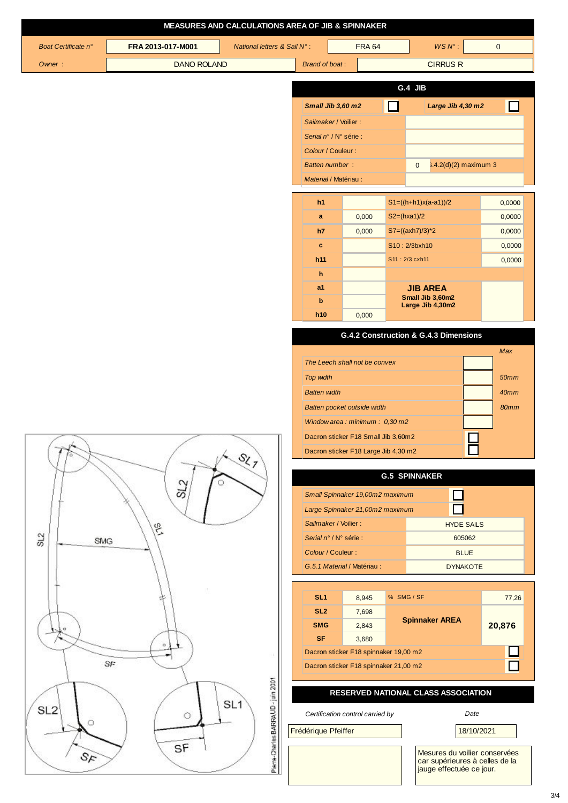|                     |                    | <b>MEASURES AND CALCULATIONS AREA OF JIB &amp; SPINNAKER</b> |                       |                                                 |                                       |   |                                                                 |              |
|---------------------|--------------------|--------------------------------------------------------------|-----------------------|-------------------------------------------------|---------------------------------------|---|-----------------------------------------------------------------|--------------|
| Boat Certificate n° | FRA 2013-017-M001  | National letters & Sail N°:                                  |                       |                                                 | <b>FRA 64</b>                         |   | WS N°:                                                          | $\mathbf{0}$ |
| Owner:              | <b>DANO ROLAND</b> |                                                              | <b>Brand of boat:</b> |                                                 |                                       |   | <b>CIRRUS R</b>                                                 |              |
|                     |                    |                                                              |                       |                                                 |                                       |   | G.4 JIB                                                         |              |
|                     |                    |                                                              |                       |                                                 |                                       |   |                                                                 |              |
|                     |                    |                                                              |                       | Small Jib 3,60 m2                               |                                       | □ | Large Jib 4,30 m2                                               | ΙI           |
|                     |                    |                                                              |                       | Sailmaker / Voilier :<br>Serial n° / N° série : |                                       |   |                                                                 |              |
|                     |                    |                                                              |                       | Colour / Couleur :                              |                                       |   |                                                                 |              |
|                     |                    |                                                              |                       | <b>Batten number:</b>                           |                                       |   | $3.4.2(d)(2)$ maximum 3<br>$\overline{0}$                       |              |
|                     |                    |                                                              | Material / Matériau : |                                                 |                                       |   |                                                                 |              |
|                     |                    |                                                              | h <sub>1</sub>        |                                                 |                                       |   | $S1=((h+h1)x(a-a1))/2$                                          | 0,0000       |
|                     |                    |                                                              | $\mathbf{a}$          |                                                 | 0,000                                 |   | $S2=(hxa1)/2$                                                   | 0,0000       |
|                     |                    |                                                              | h7                    |                                                 | 0,000                                 |   | $S7 = ((axh7)/3)^*2$                                            | 0,0000       |
|                     |                    |                                                              | c                     |                                                 |                                       |   | S10:2/3bxh10                                                    | 0,0000       |
|                     |                    |                                                              | h11                   |                                                 |                                       |   | S11: 2/3 cxh11                                                  | 0,0000       |
|                     |                    |                                                              | h                     |                                                 |                                       |   |                                                                 |              |
|                     |                    |                                                              | a1<br>b               |                                                 |                                       |   | <b>JIB AREA</b><br>Small Jib 3,60m2                             |              |
|                     |                    |                                                              | h10                   |                                                 | 0,000                                 |   | Large Jib 4,30m2                                                |              |
|                     |                    |                                                              |                       |                                                 |                                       |   | G.4.2 Construction & G.4.3 Dimensions                           |              |
|                     |                    |                                                              |                       |                                                 |                                       |   |                                                                 | Max          |
|                     |                    |                                                              |                       |                                                 | The Leech shall not be convex         |   |                                                                 |              |
|                     |                    |                                                              | <b>Top width</b>      |                                                 |                                       |   |                                                                 | <b>50mm</b>  |
|                     |                    |                                                              | <b>Batten width</b>   |                                                 |                                       |   |                                                                 | 40mm         |
|                     |                    |                                                              |                       |                                                 | Batten pocket outside width           |   |                                                                 | 80mm         |
|                     |                    |                                                              |                       |                                                 | Window area: minimum: $0,30$ m2       |   |                                                                 |              |
| Jh.                 |                    |                                                              |                       |                                                 | Dacron sticker F18 Small Jib 3,60m2   |   |                                                                 |              |
|                     |                    | $\mathcal{S}_{\zeta_{\mathcal{J}}}$                          |                       |                                                 | Dacron sticker F18 Large Jib 4,30 m2  |   |                                                                 |              |
|                     |                    |                                                              | <b>G.5 SPINNAKER</b>  |                                                 |                                       |   |                                                                 |              |
|                     | SL <sub>2</sub>    |                                                              |                       |                                                 | Small Spinnaker 19,00m2 maximum       |   |                                                                 |              |
|                     |                    |                                                              |                       |                                                 | Large Spinnaker 21,00m2 maximum       |   |                                                                 |              |
|                     | ej1                |                                                              |                       | Sailmaker / Voilier :                           |                                       |   | <b>HYDE SAILS</b>                                               |              |
| SL2<br><b>SMG</b>   |                    |                                                              |                       | Serial n° / N° série :                          |                                       |   | 605062                                                          |              |
|                     |                    |                                                              |                       | Colour / Couleur :                              |                                       |   | <b>BLUE</b>                                                     |              |
|                     |                    |                                                              |                       |                                                 | G.5.1 Material / Matériau:            |   | <b>DYNAKOTE</b>                                                 |              |
|                     |                    |                                                              | SL <sub>1</sub>       |                                                 |                                       |   | % SMG / SF                                                      |              |
|                     |                    |                                                              | SL <sub>2</sub>       |                                                 | 8,945<br>7,698                        |   |                                                                 | 77,26        |
| o                   |                    |                                                              | <b>SMG</b>            |                                                 | 2,843                                 |   | <b>Spinnaker AREA</b>                                           | 20,876       |
|                     | $\circ$            |                                                              | <b>SF</b>             |                                                 | 3,680                                 |   |                                                                 |              |
|                     |                    |                                                              |                       |                                                 | Dacron sticker F18 spinnaker 19,00 m2 |   |                                                                 |              |
|                     | SF                 |                                                              |                       |                                                 | Dacron sticker F18 spinnaker 21,00 m2 |   |                                                                 | П            |
|                     |                    |                                                              |                       |                                                 |                                       |   | <b>RESERVED NATIONAL CLASS ASSOCIATION</b>                      |              |
| SL <sub>2</sub>     | $\circ$            | SL <sub>1</sub>                                              |                       |                                                 | Certification control carried by      |   | Date                                                            |              |
| O                   |                    | Pierre-Charles BARRAUD - juin 2001                           | Frédérique Pfeiffer   |                                                 |                                       |   | 18/10/2021                                                      |              |
| $\Im \kappa$        | SF                 |                                                              |                       |                                                 |                                       |   | Mesures du voilier conservées<br>car supérieures à celles de la |              |
|                     |                    |                                                              |                       |                                                 |                                       |   | jauge effectuée ce jour.                                        |              |

3/4